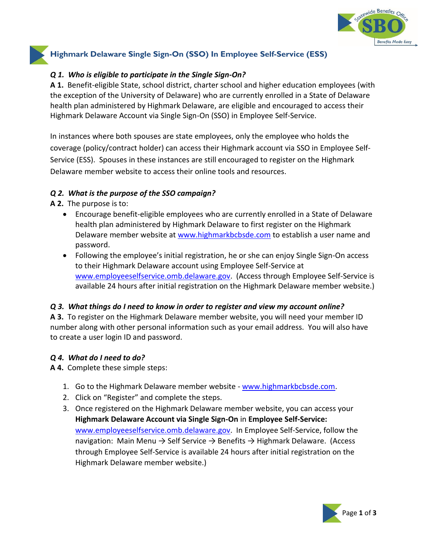

# **Highmark Delaware Single Sign-On (SSO) In Employee Self-Service (ESS)**

## *Q 1. Who is eligible to participate in the Single Sign-On?*

**A 1.** Benefit-eligible State, school district, charter school and higher education employees (with the exception of the University of Delaware) who are currently enrolled in a State of Delaware health plan administered by Highmark Delaware, are eligible and encouraged to access their Highmark Delaware Account via Single Sign-On (SSO) in Employee Self-Service.

In instances where both spouses are state employees, only the employee who holds the coverage (policy/contract holder) can access their Highmark account via SSO in Employee Self-Service (ESS). Spouses in these instances are still encouraged to register on the Highmark Delaware member website to access their online tools and resources.

### *Q 2. What is the purpose of the SSO campaign?*

**A 2.** The purpose is to:

- Encourage benefit-eligible employees who are currently enrolled in a State of Delaware health plan administered by Highmark Delaware to first register on the Highmark Delaware member website at [www.highmarkbcbsde.com](https://www.highmarkbcbsde.com/) to establish a user name and password.
- Following the employee's initial registration, he or she can enjoy Single Sign-On access to their Highmark Delaware account using Employee Self-Service at [www.employeeselfservice.omb.delaware.gov.](http://www.employeeselfservice.omb.delaware.gov/) (Access through Employee Self-Service is available 24 hours after initial registration on the Highmark Delaware member website.)

# *Q 3. What things do I need to know in order to register and view my account online?*

**A 3.**To register on the Highmark Delaware member website, you will need your member ID number along with other personal information such as your email address. You will also have to create a user login ID and password.

### *Q 4. What do I need to do?*

**A 4.**Complete these simple steps:

- 1. Go to the Highmark Delaware member website [www.highmarkbcbsde.com.](http://www.highmarkbcbsde.com/)
- 2. Click on "Register" and complete the steps.
- 3. Once registered on the Highmark Delaware member website, you can access your **Highmark Delaware Account via Single Sign-On** in **Employee Self-Service:**  [www.employeeselfservice.omb.delaware.gov.](http://www.employeeselfservice.omb.delaware.gov/) In Employee Self-Service, follow the navigation: Main Menu  $\rightarrow$  Self Service  $\rightarrow$  Benefits  $\rightarrow$  Highmark Delaware. (Access through Employee Self-Service is available 24 hours after initial registration on the Highmark Delaware member website.)

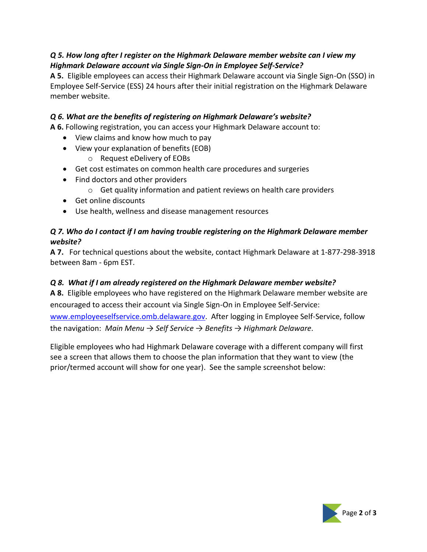# *Q 5. How long after I register on the Highmark Delaware member website can I view my Highmark Delaware account via Single Sign-On in Employee Self-Service?*

**A 5.** Eligible employees can access their Highmark Delaware account via Single Sign-On (SSO) in Employee Self-Service (ESS) 24 hours after their initial registration on the Highmark Delaware member website.

# *Q 6. What are the benefits of registering on Highmark Delaware's website?*

**A 6.** Following registration, you can access your Highmark Delaware account to:

- View claims and know how much to pay
- View your explanation of benefits (EOB)
	- o Request eDelivery of EOBs
- Get cost estimates on common health care procedures and surgeries
- Find doctors and other providers
	- $\circ$  Get quality information and patient reviews on health care providers
- Get online discounts
- Use health, wellness and disease management resources

# *Q 7. Who do I contact if I am having trouble registering on the Highmark Delaware member website?*

**A 7.** For technical questions about the website, contact Highmark Delaware at 1-877-298-3918 between 8am - 6pm EST.

# *Q 8. What if I am already registered on the Highmark Delaware member website?*

**A 8.**Eligible employees who have registered on the Highmark Delaware member website are encouraged to access their account via Single Sign-On in Employee Self-Service: [www.employeeselfservice.omb.delaware.gov.](http://www.employeeselfservice.omb.delaware.gov/) After logging in Employee Self-Service, follow the navigation: *Main Menu → Self Service → Benefits → Highmark Delaware.*

Eligible employees who had Highmark Delaware coverage with a different company will first see a screen that allows them to choose the plan information that they want to view (the prior/termed account will show for one year). See the sample screenshot below: